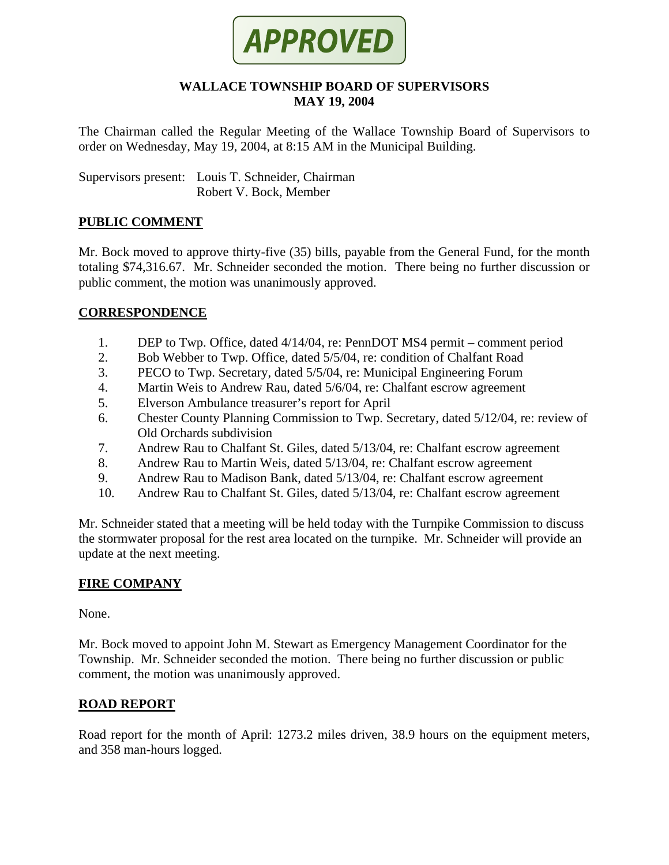

#### **WALLACE TOWNSHIP BOARD OF SUPERVISORS MAY 19, 2004**

The Chairman called the Regular Meeting of the Wallace Township Board of Supervisors to order on Wednesday, May 19, 2004, at 8:15 AM in the Municipal Building.

Supervisors present: Louis T. Schneider, Chairman Robert V. Bock, Member

## **PUBLIC COMMENT**

Mr. Bock moved to approve thirty-five (35) bills, payable from the General Fund, for the month totaling \$74,316.67. Mr. Schneider seconded the motion. There being no further discussion or public comment, the motion was unanimously approved.

## **CORRESPONDENCE**

- 1. DEP to Twp. Office, dated 4/14/04, re: PennDOT MS4 permit comment period
- 2. Bob Webber to Twp. Office, dated 5/5/04, re: condition of Chalfant Road
- 3. PECO to Twp. Secretary, dated 5/5/04, re: Municipal Engineering Forum
- 4. Martin Weis to Andrew Rau, dated 5/6/04, re: Chalfant escrow agreement
- 5. Elverson Ambulance treasurer's report for April
- 6. Chester County Planning Commission to Twp. Secretary, dated 5/12/04, re: review of Old Orchards subdivision
- 7. Andrew Rau to Chalfant St. Giles, dated 5/13/04, re: Chalfant escrow agreement
- 8. Andrew Rau to Martin Weis, dated 5/13/04, re: Chalfant escrow agreement
- 9. Andrew Rau to Madison Bank, dated 5/13/04, re: Chalfant escrow agreement
- 10. Andrew Rau to Chalfant St. Giles, dated 5/13/04, re: Chalfant escrow agreement

Mr. Schneider stated that a meeting will be held today with the Turnpike Commission to discuss the stormwater proposal for the rest area located on the turnpike. Mr. Schneider will provide an update at the next meeting.

## **FIRE COMPANY**

None.

Mr. Bock moved to appoint John M. Stewart as Emergency Management Coordinator for the Township. Mr. Schneider seconded the motion. There being no further discussion or public comment, the motion was unanimously approved.

## **ROAD REPORT**

Road report for the month of April: 1273.2 miles driven, 38.9 hours on the equipment meters, and 358 man-hours logged.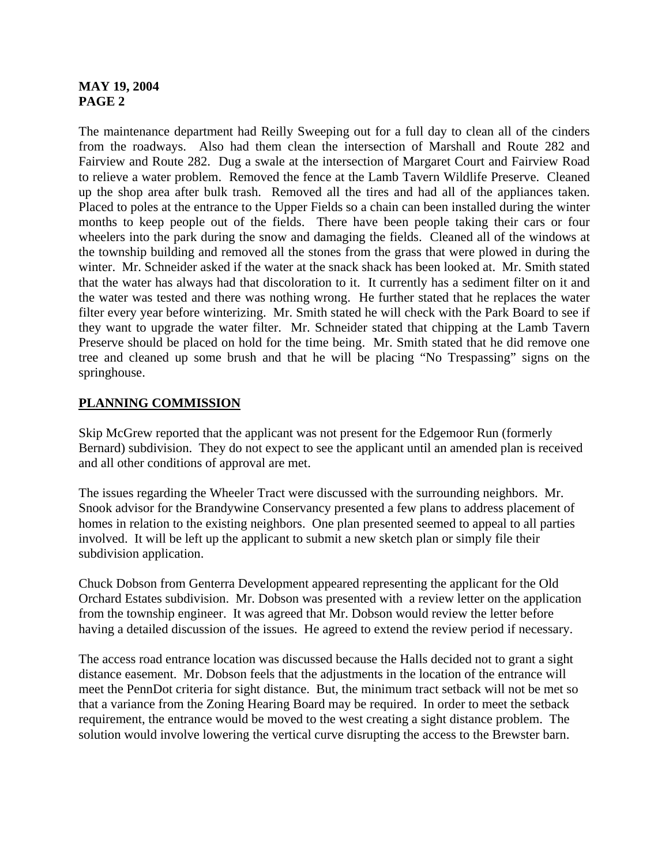## **MAY 19, 2004 PAGE 2**

The maintenance department had Reilly Sweeping out for a full day to clean all of the cinders from the roadways. Also had them clean the intersection of Marshall and Route 282 and Fairview and Route 282. Dug a swale at the intersection of Margaret Court and Fairview Road to relieve a water problem. Removed the fence at the Lamb Tavern Wildlife Preserve. Cleaned up the shop area after bulk trash. Removed all the tires and had all of the appliances taken. Placed to poles at the entrance to the Upper Fields so a chain can been installed during the winter months to keep people out of the fields. There have been people taking their cars or four wheelers into the park during the snow and damaging the fields. Cleaned all of the windows at the township building and removed all the stones from the grass that were plowed in during the winter. Mr. Schneider asked if the water at the snack shack has been looked at. Mr. Smith stated that the water has always had that discoloration to it. It currently has a sediment filter on it and the water was tested and there was nothing wrong. He further stated that he replaces the water filter every year before winterizing. Mr. Smith stated he will check with the Park Board to see if they want to upgrade the water filter. Mr. Schneider stated that chipping at the Lamb Tavern Preserve should be placed on hold for the time being. Mr. Smith stated that he did remove one tree and cleaned up some brush and that he will be placing "No Trespassing" signs on the springhouse.

# **PLANNING COMMISSION**

Skip McGrew reported that the applicant was not present for the Edgemoor Run (formerly Bernard) subdivision. They do not expect to see the applicant until an amended plan is received and all other conditions of approval are met.

The issues regarding the Wheeler Tract were discussed with the surrounding neighbors. Mr. Snook advisor for the Brandywine Conservancy presented a few plans to address placement of homes in relation to the existing neighbors. One plan presented seemed to appeal to all parties involved. It will be left up the applicant to submit a new sketch plan or simply file their subdivision application.

Chuck Dobson from Genterra Development appeared representing the applicant for the Old Orchard Estates subdivision. Mr. Dobson was presented with a review letter on the application from the township engineer. It was agreed that Mr. Dobson would review the letter before having a detailed discussion of the issues. He agreed to extend the review period if necessary.

The access road entrance location was discussed because the Halls decided not to grant a sight distance easement. Mr. Dobson feels that the adjustments in the location of the entrance will meet the PennDot criteria for sight distance. But, the minimum tract setback will not be met so that a variance from the Zoning Hearing Board may be required. In order to meet the setback requirement, the entrance would be moved to the west creating a sight distance problem. The solution would involve lowering the vertical curve disrupting the access to the Brewster barn.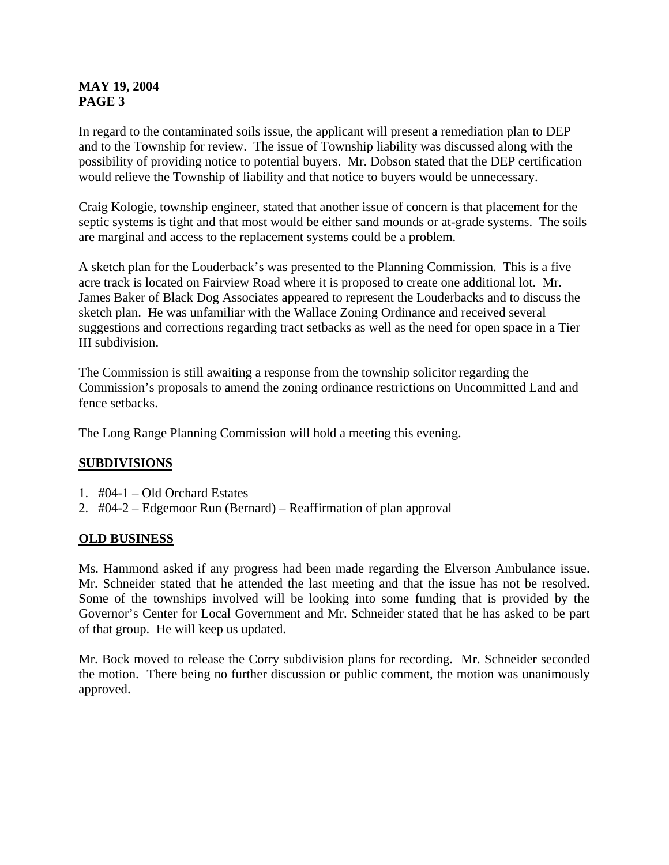## **MAY 19, 2004 PAGE 3**

In regard to the contaminated soils issue, the applicant will present a remediation plan to DEP and to the Township for review. The issue of Township liability was discussed along with the possibility of providing notice to potential buyers. Mr. Dobson stated that the DEP certification would relieve the Township of liability and that notice to buyers would be unnecessary.

Craig Kologie, township engineer, stated that another issue of concern is that placement for the septic systems is tight and that most would be either sand mounds or at-grade systems. The soils are marginal and access to the replacement systems could be a problem.

A sketch plan for the Louderback's was presented to the Planning Commission. This is a five acre track is located on Fairview Road where it is proposed to create one additional lot. Mr. James Baker of Black Dog Associates appeared to represent the Louderbacks and to discuss the sketch plan. He was unfamiliar with the Wallace Zoning Ordinance and received several suggestions and corrections regarding tract setbacks as well as the need for open space in a Tier III subdivision.

The Commission is still awaiting a response from the township solicitor regarding the Commission's proposals to amend the zoning ordinance restrictions on Uncommitted Land and fence setbacks.

The Long Range Planning Commission will hold a meeting this evening.

## **SUBDIVISIONS**

- 1. #04-1 Old Orchard Estates
- 2. #04-2 Edgemoor Run (Bernard) Reaffirmation of plan approval

## **OLD BUSINESS**

Ms. Hammond asked if any progress had been made regarding the Elverson Ambulance issue. Mr. Schneider stated that he attended the last meeting and that the issue has not be resolved. Some of the townships involved will be looking into some funding that is provided by the Governor's Center for Local Government and Mr. Schneider stated that he has asked to be part of that group. He will keep us updated.

Mr. Bock moved to release the Corry subdivision plans for recording. Mr. Schneider seconded the motion. There being no further discussion or public comment, the motion was unanimously approved.